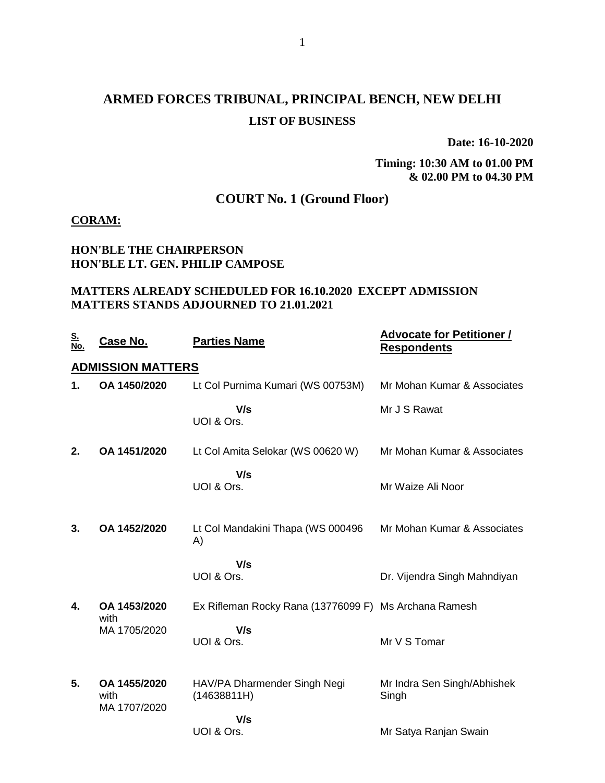# **ARMED FORCES TRIBUNAL, PRINCIPAL BENCH, NEW DELHI LIST OF BUSINESS**

**Date: 16-10-2020**

**Timing: 10:30 AM to 01.00 PM & 02.00 PM to 04.30 PM**

## **COURT No. 1 (Ground Floor)**

#### **CORAM:**

### **HON'BLE THE CHAIRPERSON HON'BLE LT. GEN. PHILIP CAMPOSE**

#### **MATTERS ALREADY SCHEDULED FOR 16.10.2020 EXCEPT ADMISSION MATTERS STANDS ADJOURNED TO 21.01.2021**

| <u>S.</u><br>No.         | <b>Case No.</b>                      | <b>Parties Name</b>                                   | <b>Advocate for Petitioner /</b><br><b>Respondents</b> |  |  |  |
|--------------------------|--------------------------------------|-------------------------------------------------------|--------------------------------------------------------|--|--|--|
| <b>ADMISSION MATTERS</b> |                                      |                                                       |                                                        |  |  |  |
| 1.                       | OA 1450/2020                         | Lt Col Purnima Kumari (WS 00753M)                     | Mr Mohan Kumar & Associates                            |  |  |  |
|                          |                                      | V/s<br>UOI & Ors.                                     | Mr J S Rawat                                           |  |  |  |
| 2.                       | OA 1451/2020                         | Lt Col Amita Selokar (WS 00620 W)                     | Mr Mohan Kumar & Associates                            |  |  |  |
|                          |                                      | V/s<br>UOI & Ors.                                     | Mr Waize Ali Noor                                      |  |  |  |
| 3.                       | OA 1452/2020                         | Lt Col Mandakini Thapa (WS 000496<br>A)               | Mr Mohan Kumar & Associates                            |  |  |  |
|                          |                                      | V/s<br>UOI & Ors.                                     | Dr. Vijendra Singh Mahndiyan                           |  |  |  |
| $\overline{\mathbf{4}}$  | OA 1453/2020                         | Ex Rifleman Rocky Rana (13776099 F) Ms Archana Ramesh |                                                        |  |  |  |
|                          | with<br>MA 1705/2020                 | V/s<br>UOI & Ors.                                     | Mr V S Tomar                                           |  |  |  |
| 5.                       | OA 1455/2020<br>with<br>MA 1707/2020 | HAV/PA Dharmender Singh Negi<br>(14638811H)           | Mr Indra Sen Singh/Abhishek<br>Singh                   |  |  |  |
|                          |                                      | V/s<br>UOI & Ors.                                     | Mr Satya Ranjan Swain                                  |  |  |  |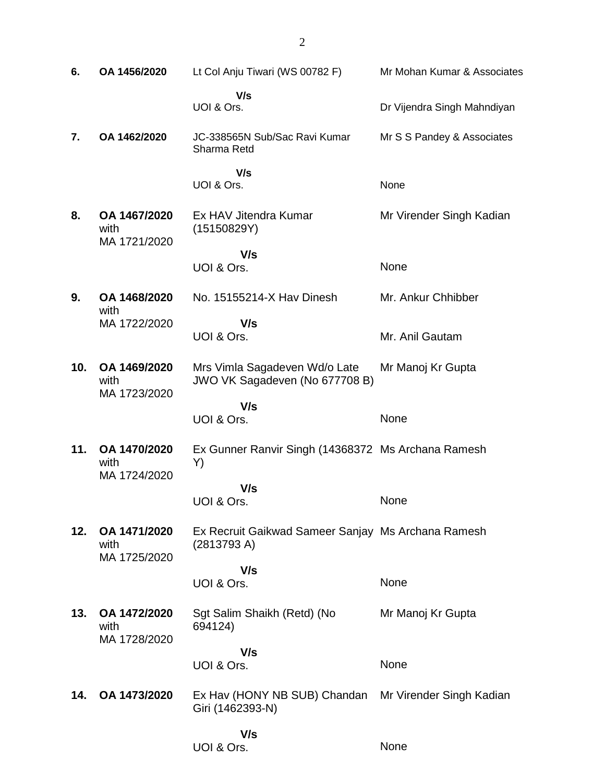**6. OA 1456/2020** Lt Col Anju Tiwari (WS 00782 F)  **V/s** UOI & Ors. Mr Mohan Kumar & Associates Dr Vijendra Singh Mahndiyan **7. OA 1462/2020** JC-338565N Sub/Sac Ravi Kumar Sharma Retd  **V/s** UOI & Ors. Mr S S Pandey & Associates None **8. OA 1467/2020** with MA 1721/2020 Ex HAV Jitendra Kumar (15150829Y)  **V/s** UOI & Ors. Mr Virender Singh Kadian None **9. OA 1468/2020** with MA 1722/2020 No. 15155214-X Hav Dinesh  **V/s** UOI & Ors. Mr. Ankur Chhibber Mr. Anil Gautam **10. OA 1469/2020** with MA 1723/2020 Mrs Vimla Sagadeven Wd/o Late JWO VK Sagadeven (No 677708 B)  **V/s** UOI & Ors. Mr Manoj Kr Gupta None **11. OA 1470/2020** with MA 1724/2020 Ex Gunner Ranvir Singh (14368372 Ms Archana Ramesh Y)  **V/s** UOI & Ors. None **12. OA 1471/2020** with MA 1725/2020 Ex Recruit Gaikwad Sameer Sanjay Ms Archana Ramesh (2813793 A)  **V/s** UOI & Ors. None **13. OA 1472/2020** with MA 1728/2020 Sgt Salim Shaikh (Retd) (No 694124)  **V/s** UOI & Ors. Mr Manoj Kr Gupta None **14. OA 1473/2020** Ex Hav (HONY NB SUB) Chandan Giri (1462393-N)  **V/s** UOI & Ors. Mr Virender Singh Kadian None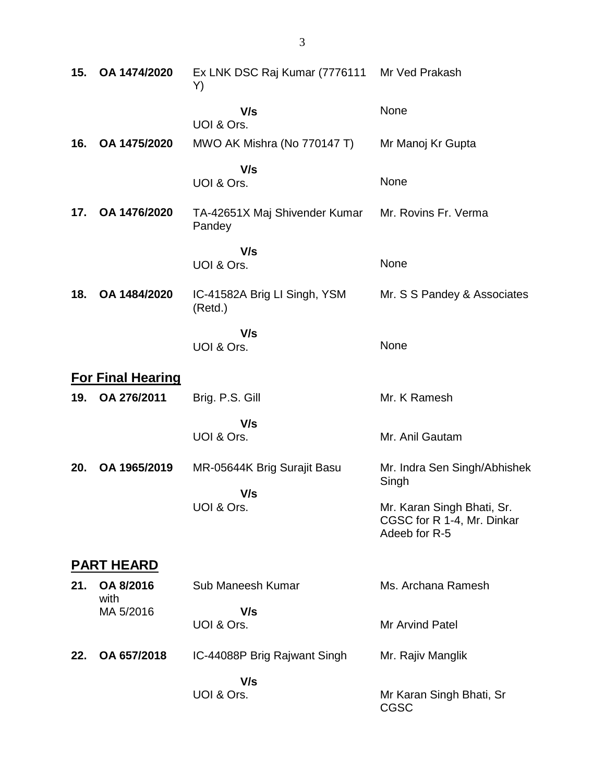| 15. | OA 1474/2020             | Ex LNK DSC Raj Kumar (7776111<br>Y)     | Mr Ved Prakash                                                            |
|-----|--------------------------|-----------------------------------------|---------------------------------------------------------------------------|
|     |                          | V/s<br>UOI & Ors.                       | None                                                                      |
| 16. | OA 1475/2020             | MWO AK Mishra (No 770147 T)             | Mr Manoj Kr Gupta                                                         |
|     |                          | V/s<br>UOI & Ors.                       | None                                                                      |
| 17. | OA 1476/2020             | TA-42651X Maj Shivender Kumar<br>Pandey | Mr. Rovins Fr. Verma                                                      |
|     |                          | V/s<br>UOI & Ors.                       | None                                                                      |
| 18. | OA 1484/2020             | IC-41582A Brig LI Singh, YSM<br>(Retd.) | Mr. S S Pandey & Associates                                               |
|     |                          | V/s<br>UOI & Ors.                       | None                                                                      |
|     | <b>For Final Hearing</b> |                                         |                                                                           |
| 19. | OA 276/2011              | Brig. P.S. Gill                         | Mr. K Ramesh                                                              |
|     |                          | V/s<br>UOI & Ors.                       | Mr. Anil Gautam                                                           |
| 20. | OA 1965/2019             | MR-05644K Brig Surajit Basu<br>V/s      | Mr. Indra Sen Singh/Abhishek<br>Singh                                     |
|     |                          | UOI & Ors.                              | Mr. Karan Singh Bhati, Sr.<br>CGSC for R 1-4, Mr. Dinkar<br>Adeeb for R-5 |
|     | <b>PART HEARD</b>        |                                         |                                                                           |
| 21. | OA 8/2016<br>with        | Sub Maneesh Kumar                       | Ms. Archana Ramesh                                                        |
|     | MA 5/2016                | V/s<br>UOI & Ors.                       | Mr Arvind Patel                                                           |
| 22. | OA 657/2018              | IC-44088P Brig Rajwant Singh            | Mr. Rajiv Manglik                                                         |
|     |                          | V/s<br>UOI & Ors.                       | Mr Karan Singh Bhati, Sr<br><b>CGSC</b>                                   |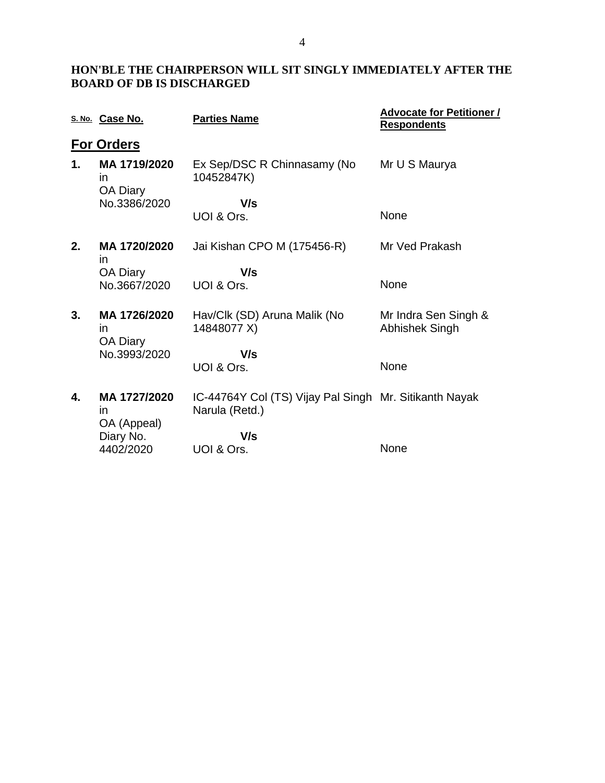## **HON'BLE THE CHAIRPERSON WILL SIT SINGLY IMMEDIATELY AFTER THE BOARD OF DB IS DISCHARGED**

|    | S. No. Case No.                       | <b>Parties Name</b>                                                      | <b>Advocate for Petitioner /</b><br><b>Respondents</b> |
|----|---------------------------------------|--------------------------------------------------------------------------|--------------------------------------------------------|
|    | <b>For Orders</b>                     |                                                                          |                                                        |
| 1. | MA 1719/2020<br>in<br>OA Diary        | Ex Sep/DSC R Chinnasamy (No<br>10452847K)                                | Mr U S Maurya                                          |
|    | No.3386/2020                          | V/s                                                                      |                                                        |
|    |                                       | UOI & Ors.                                                               | None                                                   |
| 2. | MA 1720/2020<br>in.                   | Jai Kishan CPO M (175456-R)                                              | Mr Ved Prakash                                         |
|    | OA Diary                              | V/s                                                                      |                                                        |
|    | No.3667/2020                          | UOI & Ors.                                                               | None                                                   |
| 3. | MA 1726/2020<br><i>in</i><br>OA Diary | Hav/Clk (SD) Aruna Malik (No<br>14848077 X)                              | Mr Indra Sen Singh &<br>Abhishek Singh                 |
|    | No.3993/2020                          | V/s                                                                      |                                                        |
|    |                                       | UOI & Ors.                                                               | None                                                   |
| 4. | MA 1727/2020<br>in.<br>OA (Appeal)    | IC-44764Y Col (TS) Vijay Pal Singh Mr. Sitikanth Nayak<br>Narula (Retd.) |                                                        |
|    | Diary No.                             | V/s                                                                      |                                                        |
|    | 4402/2020                             | UOI & Ors.                                                               | None                                                   |